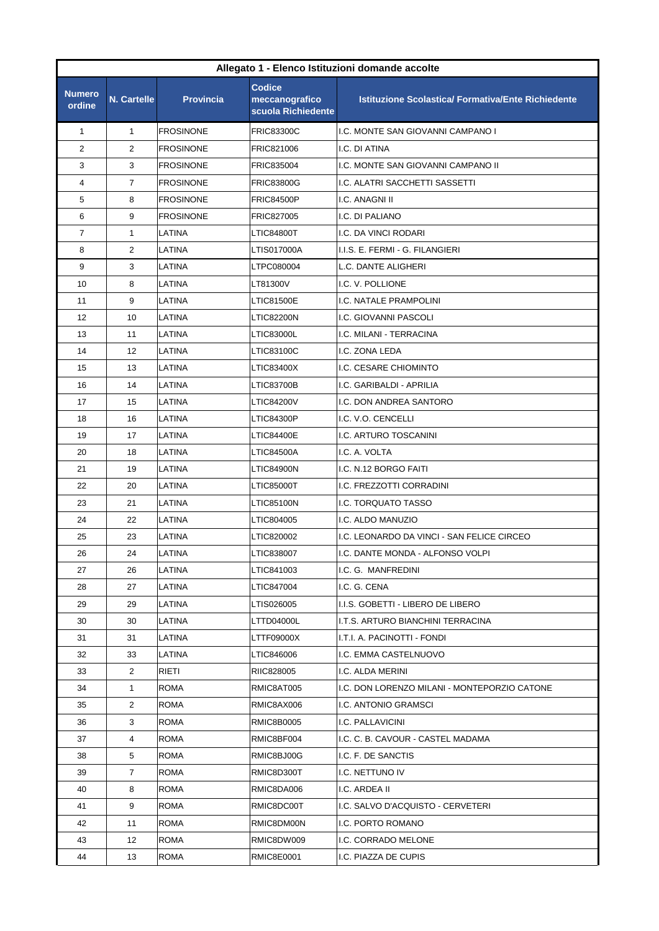| Allegato 1 - Elenco Istituzioni domande accolte |                    |                  |                                                       |                                                           |  |
|-------------------------------------------------|--------------------|------------------|-------------------------------------------------------|-----------------------------------------------------------|--|
| <b>Numero</b><br>ordine                         | <b>N. Cartelle</b> | <b>Provincia</b> | <b>Codice</b><br>meccanografico<br>scuola Richiedente | <b>Istituzione Scolastica/ Formativa/Ente Richiedente</b> |  |
| $\mathbf{1}$                                    | $\mathbf{1}$       | <b>FROSINONE</b> | <b>FRIC83300C</b>                                     | I.C. MONTE SAN GIOVANNI CAMPANO I                         |  |
| 2                                               | $\overline{2}$     | <b>FROSINONE</b> | FRIC821006                                            | I.C. DI ATINA                                             |  |
| 3                                               | 3                  | <b>FROSINONE</b> | FRIC835004                                            | I.C. MONTE SAN GIOVANNI CAMPANO II                        |  |
| 4                                               | 7                  | <b>FROSINONE</b> | <b>FRIC83800G</b>                                     | I.C. ALATRI SACCHETTI SASSETTI                            |  |
| 5                                               | 8                  | <b>FROSINONE</b> | <b>FRIC84500P</b>                                     | I.C. ANAGNI II                                            |  |
| 6                                               | 9                  | <b>FROSINONE</b> | FRIC827005                                            | I.C. DI PALIANO                                           |  |
| $\overline{7}$                                  | 1                  | LATINA           | LTIC84800T                                            | I.C. DA VINCI RODARI                                      |  |
| 8                                               | $\overline{2}$     | LATINA           | LTIS017000A                                           | I.I.S. E. FERMI - G. FILANGIERI                           |  |
| 9                                               | 3                  | LATINA           | LTPC080004                                            | L.C. DANTE ALIGHERI                                       |  |
| 10                                              | 8                  | LATINA           | LT81300V                                              | I.C. V. POLLIONE                                          |  |
| 11                                              | 9                  | LATINA           | LTIC81500E                                            | I.C. NATALE PRAMPOLINI                                    |  |
| 12                                              | 10                 | LATINA           | LTIC82200N                                            | I.C. GIOVANNI PASCOLI                                     |  |
| 13                                              | 11                 | LATINA           | LTIC83000L                                            | I.C. MILANI - TERRACINA                                   |  |
| 14                                              | 12                 | LATINA           | LTIC83100C                                            | I.C. ZONA LEDA                                            |  |
| 15                                              | 13                 | LATINA           | LTIC83400X                                            | I.C. CESARE CHIOMINTO                                     |  |
| 16                                              | 14                 | LATINA           | LTIC83700B                                            | I.C. GARIBALDI - APRILIA                                  |  |
| 17                                              | 15                 | LATINA           | LTIC84200V                                            | I.C. DON ANDREA SANTORO                                   |  |
| 18                                              | 16                 | LATINA           | LTIC84300P                                            | I.C. V.O. CENCELLI                                        |  |
| 19                                              | 17                 | LATINA           | LTIC84400E                                            | I.C. ARTURO TOSCANINI                                     |  |
| 20                                              | 18                 | LATINA           | LTIC84500A                                            | I.C. A. VOLTA                                             |  |
| 21                                              | 19                 | LATINA           | <b>LTIC84900N</b>                                     | I.C. N.12 BORGO FAITI                                     |  |
| 22                                              | 20                 | LATINA           | LTIC85000T                                            | I.C. FREZZOTTI CORRADINI                                  |  |
| 23                                              | 21                 | LATINA           | LTIC85100N                                            | I.C. TORQUATO TASSO                                       |  |
| 24                                              | 22                 | LATINA           | LTIC804005                                            | I.C. ALDO MANUZIO                                         |  |
| 25                                              | 23                 | LATINA           | LTIC820002                                            | I.C. LEONARDO DA VINCI - SAN FELICE CIRCEO                |  |
| 26                                              | 24                 | LATINA           | LTIC838007                                            | I.C. DANTE MONDA - ALFONSO VOLPI                          |  |
| 27                                              | 26                 | LATINA           | LTIC841003                                            | I.C. G. MANFREDINI                                        |  |
| 28                                              | 27                 | LATINA           | LTIC847004                                            | I.C. G. CENA                                              |  |
| 29                                              | 29                 | LATINA           | LTIS026005                                            | I.I.S. GOBETTI - LIBERO DE LIBERO                         |  |
| 30                                              | 30                 | LATINA           | LTTD04000L                                            | I.T.S. ARTURO BIANCHINI TERRACINA                         |  |
| 31                                              | 31                 | LATINA           | LTTF09000X                                            | I.T.I. A. PACINOTTI - FONDI                               |  |
| 32                                              | 33                 | LATINA           | LTIC846006                                            | I.C. EMMA CASTELNUOVO                                     |  |
| 33                                              | $\overline{2}$     | RIETI            | RIIC828005                                            | I.C. ALDA MERINI                                          |  |
| 34                                              | 1                  | ROMA             | RMIC8AT005                                            | I.C. DON LORENZO MILANI - MONTEPORZIO CATONE              |  |
| 35                                              | $\overline{2}$     | ROMA             | RMIC8AX006                                            | I.C. ANTONIO GRAMSCI                                      |  |
| 36                                              | 3                  | ROMA             | RMIC8B0005                                            | I.C. PALLAVICINI                                          |  |
| 37                                              | 4                  | ROMA             | RMIC8BF004                                            | I.C. C. B. CAVOUR - CASTEL MADAMA                         |  |
| 38                                              | 5                  | ROMA             | RMIC8BJ00G                                            | I.C. F. DE SANCTIS                                        |  |
| 39                                              | $\overline{7}$     | ROMA             | RMIC8D300T                                            | I.C. NETTUNO IV                                           |  |
| 40                                              | 8                  | ROMA             | RMIC8DA006                                            | I.C. ARDEA II                                             |  |
| 41                                              | 9                  | ROMA             | RMIC8DC00T                                            | I.C. SALVO D'ACQUISTO - CERVETERI                         |  |
| 42                                              | 11                 | ROMA             | RMIC8DM00N                                            | I.C. PORTO ROMANO                                         |  |
| 43                                              | 12                 | ROMA             | RMIC8DW009                                            | I.C. CORRADO MELONE                                       |  |
| 44                                              | 13                 | ROMA             | RMIC8E0001                                            | I.C. PIAZZA DE CUPIS                                      |  |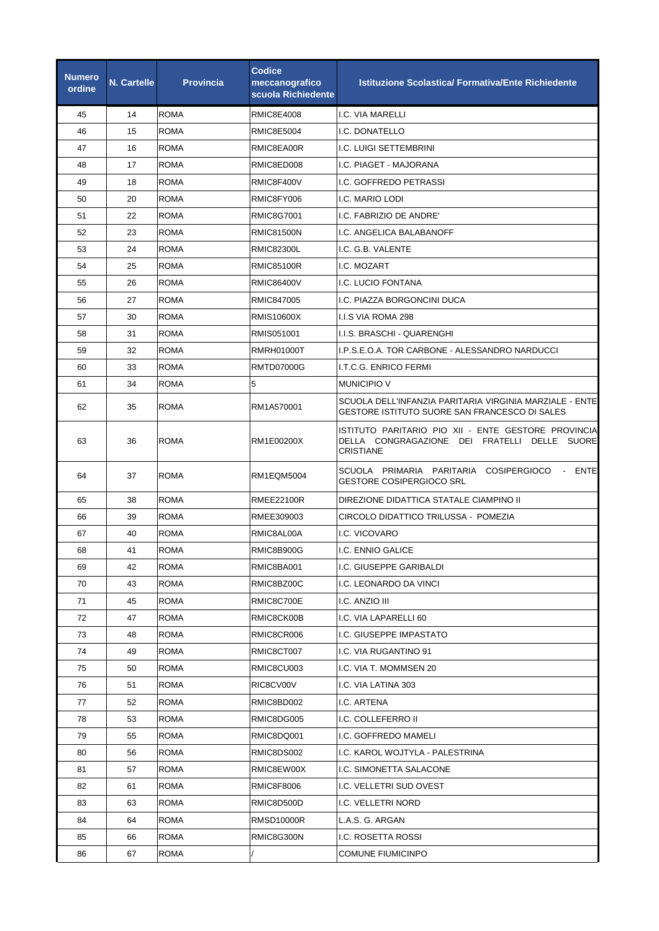| <b>Numero</b><br>ordine | <b>N. Cartelle</b> | <b>Provincia</b> | <b>Codice</b><br>meccanografico<br>scuola Richiedente | <b>Istituzione Scolastica/ Formativa/Ente Richiedente</b>                                                               |
|-------------------------|--------------------|------------------|-------------------------------------------------------|-------------------------------------------------------------------------------------------------------------------------|
| 45                      | 14                 | <b>ROMA</b>      | RMIC8E4008                                            | I.C. VIA MARELLI                                                                                                        |
| 46                      | 15                 | <b>ROMA</b>      | RMIC8E5004                                            | I.C. DONATELLO                                                                                                          |
| 47                      | 16                 | <b>ROMA</b>      | RMIC8EA00R                                            | I.C. LUIGI SETTEMBRINI                                                                                                  |
| 48                      | 17                 | <b>ROMA</b>      | RMIC8ED008                                            | I.C. PIAGET - MAJORANA                                                                                                  |
| 49                      | 18                 | <b>ROMA</b>      | RMIC8F400V                                            | I.C. GOFFREDO PETRASSI                                                                                                  |
| 50                      | 20                 | <b>ROMA</b>      | RMIC8FY006                                            | I.C. MARIO LODI                                                                                                         |
| 51                      | 22                 | <b>ROMA</b>      | <b>RMIC8G7001</b>                                     | I.C. FABRIZIO DE ANDRE'                                                                                                 |
| 52                      | 23                 | ROMA             | <b>RMIC81500N</b>                                     | I.C. ANGELICA BALABANOFF                                                                                                |
| 53                      | 24                 | <b>ROMA</b>      | <b>RMIC82300L</b>                                     | I.C. G.B. VALENTE                                                                                                       |
| 54                      | 25                 | <b>ROMA</b>      | <b>RMIC85100R</b>                                     | I.C. MOZART                                                                                                             |
| 55                      | 26                 | <b>ROMA</b>      | <b>RMIC86400V</b>                                     | I.C. LUCIO FONTANA                                                                                                      |
| 56                      | 27                 | <b>ROMA</b>      | RMIC847005                                            | I.C. PIAZZA BORGONCINI DUCA                                                                                             |
| 57                      | 30                 | <b>ROMA</b>      | <b>RMIS10600X</b>                                     | I.I.S VIA ROMA 298                                                                                                      |
| 58                      | 31                 | <b>ROMA</b>      | RMIS051001                                            | I.I.S. BRASCHI - QUARENGHI                                                                                              |
| 59                      | 32                 | <b>ROMA</b>      | <b>RMRH01000T</b>                                     | I.P.S.E.O.A. TOR CARBONE - ALESSANDRO NARDUCCI                                                                          |
| 60                      | 33                 | ROMA             | <b>RMTD07000G</b>                                     | I.T.C.G. ENRICO FERMI                                                                                                   |
| 61                      | 34                 | <b>ROMA</b>      | 5                                                     | <b>MUNICIPIO V</b>                                                                                                      |
| 62                      | 35                 | <b>ROMA</b>      | RM1A570001                                            | SCUOLA DELL'INFANZIA PARITARIA VIRGINIA MARZIALE - ENTE<br>GESTORE ISTITUTO SUORE SAN FRANCESCO DI SALES                |
| 63                      | 36                 | <b>ROMA</b>      | RM1E00200X                                            | ISTITUTO PARITARIO PIO XII - ENTE GESTORE PROVINCIA<br>DELLA CONGRAGAZIONE DEI FRATELLI DELLE SUORE<br><b>CRISTIANE</b> |
| 64                      | 37                 | <b>ROMA</b>      | <b>RM1EQM5004</b>                                     | SCUOLA PRIMARIA PARITARIA COSIPERGIOCO - ENTE<br><b>GESTORE COSIPERGIOCO SRL</b>                                        |
| 65                      | 38                 | <b>ROMA</b>      | <b>RMEE22100R</b>                                     | DIREZIONE DIDATTICA STATALE CIAMPINO II                                                                                 |
| 66                      | 39                 | <b>ROMA</b>      | RMEE309003                                            | CIRCOLO DIDATTICO TRILUSSA - POMEZIA                                                                                    |
| 67                      | 40                 | <b>ROMA</b>      | RMIC8AL00A                                            | I.C. VICOVARO                                                                                                           |
| 68                      | 41                 | <b>ROMA</b>      | RMIC8B900G                                            | I.C. ENNIO GALICE                                                                                                       |
| 69                      | 42                 | ROMA             | RMIC8BA001                                            | I.C. GIUSEPPE GARIBALDI                                                                                                 |
| 70                      | 43                 | ROMA             | RMIC8BZ00C                                            | I.C. LEONARDO DA VINCI                                                                                                  |
| 71                      | 45                 | <b>ROMA</b>      | RMIC8C700E                                            | I.C. ANZIO III                                                                                                          |
| 72                      | 47                 | ROMA             | RMIC8CK00B                                            | I.C. VIA LAPARELLI 60                                                                                                   |
| 73                      | 48                 | <b>ROMA</b>      | RMIC8CR006                                            | I.C. GIUSEPPE IMPASTATO                                                                                                 |
| 74                      | 49                 | ROMA             | RMIC8CT007                                            | I.C. VIA RUGANTINO 91                                                                                                   |
| 75                      | 50                 | ROMA             | RMIC8CU003                                            | I.C. VIA T. MOMMSEN 20                                                                                                  |
| 76                      | 51                 | ROMA             | RIC8CV00V                                             | I.C. VIA LATINA 303                                                                                                     |
| 77                      | 52                 | ROMA             | RMIC8BD002                                            | I.C. ARTENA                                                                                                             |
| 78                      | 53                 | ROMA             | RMIC8DG005                                            | I.C. COLLEFERRO II                                                                                                      |
| 79                      | 55                 | ROMA             | RMIC8DQ001                                            | I.C. GOFFREDO MAMELI                                                                                                    |
| 80                      | 56                 | ROMA             | RMIC8DS002                                            | I.C. KAROL WOJTYLA - PALESTRINA                                                                                         |
| 81                      | 57                 | ROMA             | RMIC8EW00X                                            | I.C. SIMONETTA SALACONE                                                                                                 |
| 82                      | 61                 | ROMA             | RMIC8F8006                                            | I.C. VELLETRI SUD OVEST                                                                                                 |
| 83                      | 63                 | ROMA             | RMIC8D500D                                            | I.C. VELLETRI NORD                                                                                                      |
| 84                      | 64                 | <b>ROMA</b>      | RMSD10000R                                            | L.A.S. G. ARGAN                                                                                                         |
| 85                      | 66                 | ROMA             | RMIC8G300N                                            | I.C. ROSETTA ROSSI                                                                                                      |
| 86                      | 67                 | ROMA             |                                                       | <b>COMUNE FIUMICINPO</b>                                                                                                |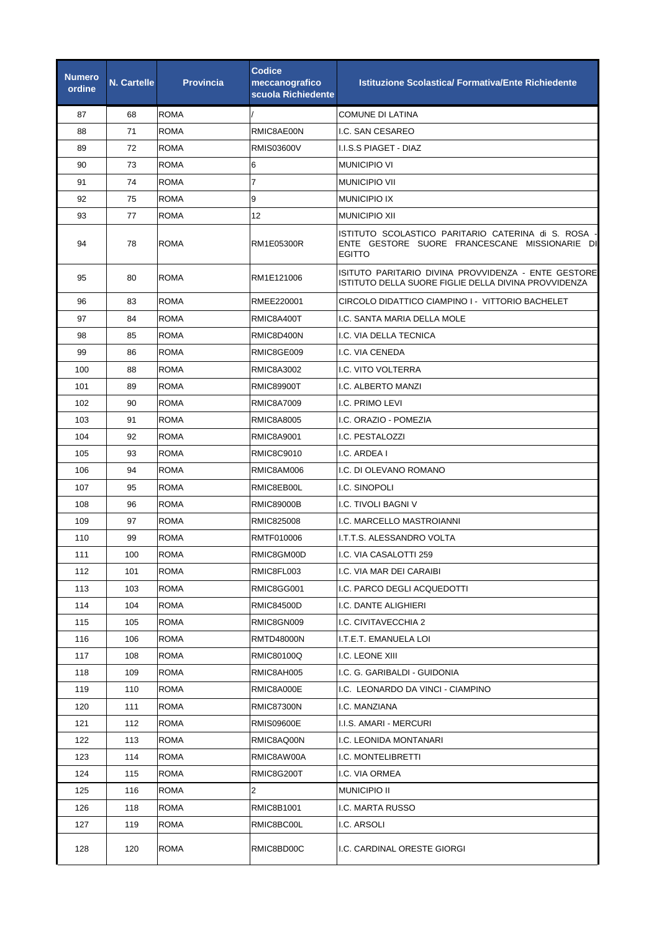| <b>Numero</b><br>ordine | <b>N. Cartelle</b> | <b>Provincia</b> | <b>Codice</b><br>meccanografico<br>scuola Richiedente | <b>Istituzione Scolastica/ Formativa/Ente Richiedente</b>                                                              |
|-------------------------|--------------------|------------------|-------------------------------------------------------|------------------------------------------------------------------------------------------------------------------------|
| 87                      | 68                 | <b>ROMA</b>      |                                                       | COMUNE DI LATINA                                                                                                       |
| 88                      | 71                 | <b>ROMA</b>      | RMIC8AE00N                                            | I.C. SAN CESAREO                                                                                                       |
| 89                      | 72                 | <b>ROMA</b>      | <b>RMIS03600V</b>                                     | I.I.S.S PIAGET - DIAZ                                                                                                  |
| 90                      | 73                 | <b>ROMA</b>      | 6                                                     | <b>MUNICIPIO VI</b>                                                                                                    |
| 91                      | 74                 | <b>ROMA</b>      | 7                                                     | <b>MUNICIPIO VII</b>                                                                                                   |
| 92                      | 75                 | <b>ROMA</b>      | 9                                                     | <b>MUNICIPIO IX</b>                                                                                                    |
| 93                      | 77                 | <b>ROMA</b>      | 12                                                    | <b>MUNICIPIO XII</b>                                                                                                   |
| 94                      | 78                 | <b>ROMA</b>      | RM1E05300R                                            | ISTITUTO SCOLASTICO PARITARIO CATERINA di S. ROSA -l<br>ENTE GESTORE SUORE FRANCESCANE MISSIONARIE DI<br><b>EGITTO</b> |
| 95                      | 80                 | <b>ROMA</b>      | RM1E121006                                            | ISITUTO PARITARIO DIVINA PROVVIDENZA - ENTE GESTORE<br>ISTITUTO DELLA SUORE FIGLIE DELLA DIVINA PROVVIDENZA            |
| 96                      | 83                 | <b>ROMA</b>      | RMEE220001                                            | CIRCOLO DIDATTICO CIAMPINO I - VITTORIO BACHELET                                                                       |
| 97                      | 84                 | <b>ROMA</b>      | RMIC8A400T                                            | I.C. SANTA MARIA DELLA MOLE                                                                                            |
| 98                      | 85                 | <b>ROMA</b>      | RMIC8D400N                                            | I.C. VIA DELLA TECNICA                                                                                                 |
| 99                      | 86                 | <b>ROMA</b>      | RMIC8GE009                                            | I.C. VIA CENEDA                                                                                                        |
| 100                     | 88                 | <b>ROMA</b>      | <b>RMIC8A3002</b>                                     | I.C. VITO VOLTERRA                                                                                                     |
| 101                     | 89                 | ROMA             | RMIC89900T                                            | I.C. ALBERTO MANZI                                                                                                     |
| 102                     | 90                 | <b>ROMA</b>      | <b>RMIC8A7009</b>                                     | I.C. PRIMO LEVI                                                                                                        |
| 103                     | 91                 | <b>ROMA</b>      | <b>RMIC8A8005</b>                                     | I.C. ORAZIO - POMEZIA                                                                                                  |
| 104                     | 92                 | <b>ROMA</b>      | RMIC8A9001                                            | I.C. PESTALOZZI                                                                                                        |
| 105                     | 93                 | <b>ROMA</b>      | RMIC8C9010                                            | I.C. ARDEA I                                                                                                           |
| 106                     | 94                 | <b>ROMA</b>      | RMIC8AM006                                            | I.C. DI OLEVANO ROMANO                                                                                                 |
| 107                     | 95                 | <b>ROMA</b>      | RMIC8EB00L                                            | I.C. SINOPOLI                                                                                                          |
| 108                     | 96                 | <b>ROMA</b>      | <b>RMIC89000B</b>                                     | I.C. TIVOLI BAGNI V                                                                                                    |
| 109                     | 97                 | <b>ROMA</b>      | RMIC825008                                            | I.C. MARCELLO MASTROIANNI                                                                                              |
| 110                     | 99                 | <b>ROMA</b>      | RMTF010006                                            | I.T.T.S. ALESSANDRO VOLTA                                                                                              |
| 111                     | 100                | <b>ROMA</b>      | RMIC8GM00D                                            | I.C. VIA CASALOTTI 259                                                                                                 |
| 112                     | 101                | ROMA             | RMIC8FL003                                            | I.C. VIA MAR DEI CARAIBI                                                                                               |
| 113                     | 103                | <b>ROMA</b>      | RMIC8GG001                                            | I.C. PARCO DEGLI ACQUEDOTTI                                                                                            |
| 114                     | 104                | ROMA             | RMIC84500D                                            | I.C. DANTE ALIGHIERI                                                                                                   |
| 115                     | 105                | <b>ROMA</b>      | RMIC8GN009                                            | I.C. CIVITAVECCHIA 2                                                                                                   |
| 116                     | 106                | <b>ROMA</b>      | RMTD48000N                                            | I.T.E.T. EMANUELA LOI                                                                                                  |
| 117                     | 108                | <b>ROMA</b>      | RMIC80100Q                                            | I.C. LEONE XIII                                                                                                        |
| 118                     | 109                | ROMA             | RMIC8AH005                                            | I.C. G. GARIBALDI - GUIDONIA                                                                                           |
| 119                     | 110                | ROMA             | RMIC8A000E                                            | I.C. LEONARDO DA VINCI - CIAMPINO                                                                                      |
| 120                     | 111                | ROMA             | <b>RMIC87300N</b>                                     | I.C. MANZIANA                                                                                                          |
| 121                     | 112                | <b>ROMA</b>      | RMIS09600E                                            | I.I.S. AMARI - MERCURI                                                                                                 |
| 122                     | 113                | <b>ROMA</b>      | RMIC8AQ00N                                            | I.C. LEONIDA MONTANARI                                                                                                 |
| 123                     | 114                | <b>ROMA</b>      | RMIC8AW00A                                            | I.C. MONTELIBRETTI                                                                                                     |
| 124                     | 115                | <b>ROMA</b>      | RMIC8G200T                                            | I.C. VIA ORMEA                                                                                                         |
| 125                     | 116                | <b>ROMA</b>      | $\overline{2}$                                        | <b>MUNICIPIO II</b>                                                                                                    |
| 126                     | 118                | <b>ROMA</b>      | RMIC8B1001                                            | I.C. MARTA RUSSO                                                                                                       |
| 127                     | 119                | <b>ROMA</b>      | RMIC8BC00L                                            | I.C. ARSOLI                                                                                                            |
| 128                     | 120                | <b>ROMA</b>      | RMIC8BD00C                                            | I.C. CARDINAL ORESTE GIORGI                                                                                            |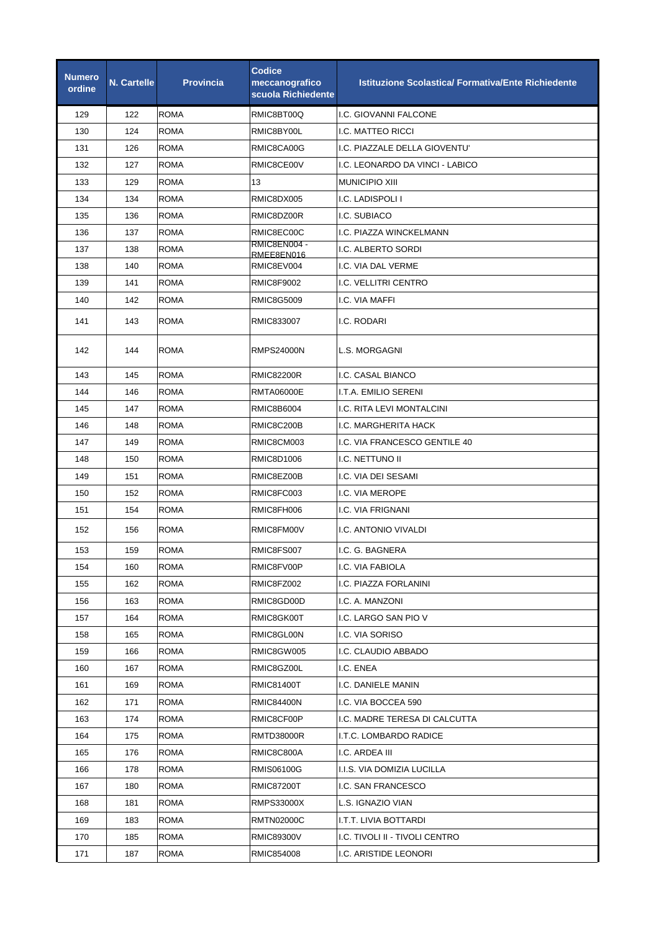| <b>Numero</b><br>ordine | <b>N. Cartelle</b> | <b>Provincia</b> | Codice<br>meccanografico<br>scuola Richiedente | <b>Istituzione Scolastica/ Formativa/Ente Richiedente</b> |
|-------------------------|--------------------|------------------|------------------------------------------------|-----------------------------------------------------------|
| 129                     | 122                | <b>ROMA</b>      | RMIC8BT00Q                                     | I.C. GIOVANNI FALCONE                                     |
| 130                     | 124                | <b>ROMA</b>      | RMIC8BY00L                                     | I.C. MATTEO RICCI                                         |
| 131                     | 126                | <b>ROMA</b>      | RMIC8CA00G                                     | I.C. PIAZZALE DELLA GIOVENTU'                             |
| 132                     | 127                | <b>ROMA</b>      | RMIC8CE00V                                     | I.C. LEONARDO DA VINCI - LABICO                           |
| 133                     | 129                | <b>ROMA</b>      | 13                                             | <b>MUNICIPIO XIII</b>                                     |
| 134                     | 134                | <b>ROMA</b>      | RMIC8DX005                                     | I.C. LADISPOLI I                                          |
| 135                     | 136                | <b>ROMA</b>      | RMIC8DZ00R                                     | I.C. SUBIACO                                              |
| 136                     | 137                | <b>ROMA</b>      | RMIC8EC00C                                     | I.C. PIAZZA WINCKELMANN                                   |
| 137                     | 138                | <b>ROMA</b>      | RMIC8EN004 -<br>RMEE8EN016                     | I.C. ALBERTO SORDI                                        |
| 138                     | 140                | <b>ROMA</b>      | RMIC8EV004                                     | I.C. VIA DAL VERME                                        |
| 139                     | 141                | <b>ROMA</b>      | RMIC8F9002                                     | <b>I.C. VELLITRI CENTRO</b>                               |
| 140                     | 142                | <b>ROMA</b>      | RMIC8G5009                                     | I.C. VIA MAFFI                                            |
| 141                     | 143                | <b>ROMA</b>      | RMIC833007                                     | I.C. RODARI                                               |
| 142                     | 144                | <b>ROMA</b>      | <b>RMPS24000N</b>                              | L.S. MORGAGNI                                             |
| 143                     | 145                | <b>ROMA</b>      | <b>RMIC82200R</b>                              | I.C. CASAL BIANCO                                         |
| 144                     | 146                | <b>ROMA</b>      | <b>RMTA06000E</b>                              | I.T.A. EMILIO SERENI                                      |
| 145                     | 147                | <b>ROMA</b>      | RMIC8B6004                                     | I.C. RITA LEVI MONTALCINI                                 |
| 146                     | 148                | <b>ROMA</b>      | RMIC8C200B                                     | I.C. MARGHERITA HACK                                      |
| 147                     | 149                | <b>ROMA</b>      | RMIC8CM003                                     | I.C. VIA FRANCESCO GENTILE 40                             |
| 148                     | 150                | ROMA             | RMIC8D1006                                     | I.C. NETTUNO II                                           |
| 149                     | 151                | <b>ROMA</b>      | RMIC8EZ00B                                     | I.C. VIA DEI SESAMI                                       |
| 150                     | 152                | <b>ROMA</b>      | RMIC8FC003                                     | I.C. VIA MEROPE                                           |
| 151                     | 154                | <b>ROMA</b>      | RMIC8FH006                                     | I.C. VIA FRIGNANI                                         |
| 152                     | 156                | <b>ROMA</b>      | RMIC8FM00V                                     | I.C. ANTONIO VIVALDI                                      |
| 153                     | 159                | <b>ROMA</b>      | RMIC8FS007                                     | I.C. G. BAGNERA                                           |
| 154                     | 160                | ROMA             | RMIC8FV00P                                     | I.C. VIA FABIOLA                                          |
| 155                     | 162                | ROMA             | RMIC8FZ002                                     | I.C. PIAZZA FORLANINI                                     |
| 156                     | 163                | ROMA             | RMIC8GD00D                                     | I.C. A. MANZONI                                           |
| 157                     | 164                | ROMA             | RMIC8GK00T                                     | I.C. LARGO SAN PIO V                                      |
| 158                     | 165                | ROMA             | RMIC8GL00N                                     | I.C. VIA SORISO                                           |
| 159                     | 166                | ROMA             | RMIC8GW005                                     | I.C. CLAUDIO ABBADO                                       |
| 160                     | 167                | <b>ROMA</b>      | RMIC8GZ00L                                     | I.C. ENEA                                                 |
| 161                     | 169                | ROMA             | <b>RMIC81400T</b>                              | I.C. DANIELE MANIN                                        |
| 162                     | 171                | ROMA             | <b>RMIC84400N</b>                              | I.C. VIA BOCCEA 590                                       |
| 163                     | 174                | ROMA             | RMIC8CF00P                                     | I.C. MADRE TERESA DI CALCUTTA                             |
| 164                     | 175                | ROMA             | <b>RMTD38000R</b>                              | I.T.C. LOMBARDO RADICE                                    |
| 165                     | 176                | ROMA             | RMIC8C800A                                     | I.C. ARDEA III                                            |
| 166                     | 178                | ROMA             | RMIS06100G                                     | I.I.S. VIA DOMIZIA LUCILLA                                |
| 167                     | 180                | ROMA             | <b>RMIC87200T</b>                              | I.C. SAN FRANCESCO                                        |
| 168                     | 181                | ROMA             | RMPS33000X                                     | L.S. IGNAZIO VIAN                                         |
| 169                     | 183                | ROMA             | <b>RMTN02000C</b>                              | I.T.T. LIVIA BOTTARDI                                     |
| 170                     | 185                | ROMA             | RMIC89300V                                     | I.C. TIVOLI II - TIVOLI CENTRO                            |
| 171                     | 187                | ROMA             | RMIC854008                                     | I.C. ARISTIDE LEONORI                                     |